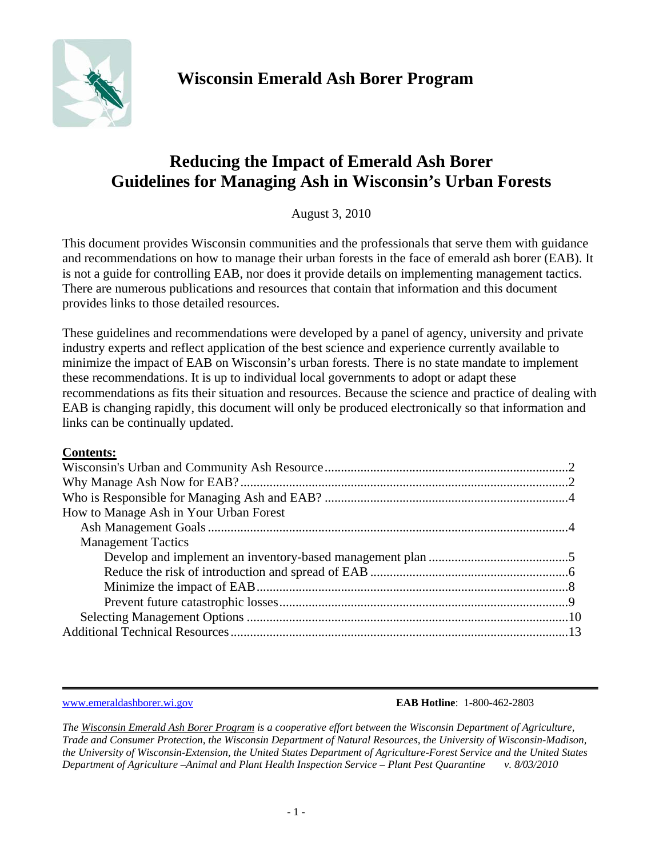

# **Reducing the Impact of Emerald Ash Borer Guidelines for Managing Ash in Wisconsin's Urban Forests**

August 3, 2010

This document provides Wisconsin communities and the professionals that serve them with guidance and recommendations on how to manage their urban forests in the face of emerald ash borer (EAB). It is not a guide for controlling EAB, nor does it provide details on implementing management tactics. There are numerous publications and resources that contain that information and this document provides links to those detailed resources.

These guidelines and recommendations were developed by a panel of agency, university and private industry experts and reflect application of the best science and experience currently available to minimize the impact of EAB on Wisconsin's urban forests. There is no state mandate to implement these recommendations. It is up to individual local governments to adopt or adapt these recommendations as fits their situation and resources. Because the science and practice of dealing with EAB is changing rapidly, this document will only be produced electronically so that information and links can be continually updated.

## **Contents:**

| How to Manage Ash in Your Urban Forest |  |
|----------------------------------------|--|
|                                        |  |
| <b>Management Tactics</b>              |  |
|                                        |  |
|                                        |  |
|                                        |  |
|                                        |  |
|                                        |  |
|                                        |  |
|                                        |  |

www.emeraldashborer.wi.gov **EAB Hotline**: 1-800-462-2803

*The Wisconsin Emerald Ash Borer Program is a cooperative effort between the Wisconsin Department of Agriculture, Trade and Consumer Protection, the Wisconsin Department of Natural Resources, the University of Wisconsin-Madison, the University of Wisconsin-Extension, the United States Department of Agriculture-Forest Service and the United States Department of Agriculture –Animal and Plant Health Inspection Service – Plant Pest Quarantine v. 8/03/2010*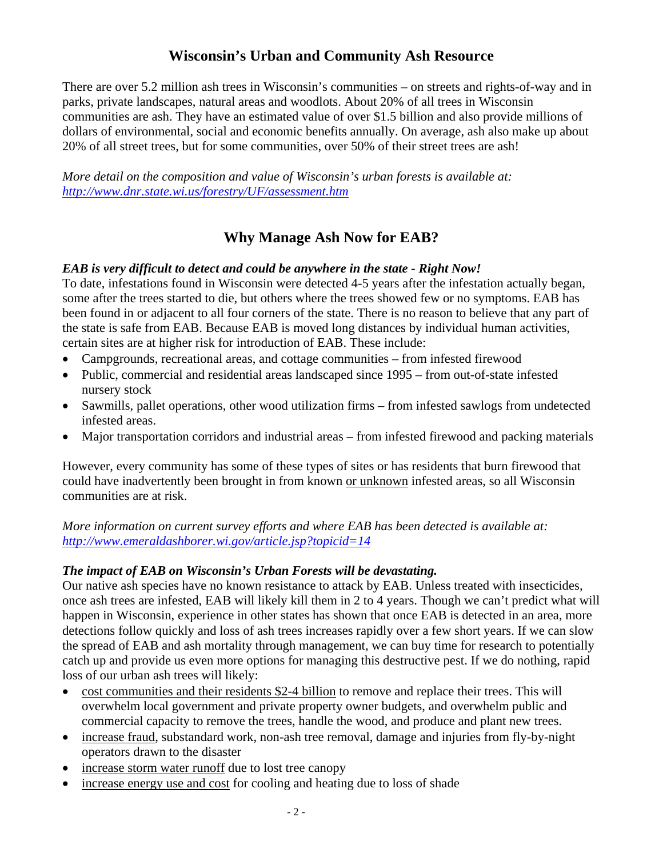## **Wisconsin's Urban and Community Ash Resource**

There are over 5.2 million ash trees in Wisconsin's communities – on streets and rights-of-way and in parks, private landscapes, natural areas and woodlots. About 20% of all trees in Wisconsin communities are ash. They have an estimated value of over \$1.5 billion and also provide millions of dollars of environmental, social and economic benefits annually. On average, ash also make up about 20% of all street trees, but for some communities, over 50% of their street trees are ash!

*More detail on the composition and value of Wisconsin's urban forests is available at: http://www.dnr.state.wi.us/forestry/UF/assessment.htm*

## **Why Manage Ash Now for EAB?**

## *EAB is very difficult to detect and could be anywhere in the state - Right Now!*

To date, infestations found in Wisconsin were detected 4-5 years after the infestation actually began, some after the trees started to die, but others where the trees showed few or no symptoms. EAB has been found in or adjacent to all four corners of the state. There is no reason to believe that any part of the state is safe from EAB. Because EAB is moved long distances by individual human activities, certain sites are at higher risk for introduction of EAB. These include:

- Campgrounds, recreational areas, and cottage communities from infested firewood
- Public, commercial and residential areas landscaped since 1995 from out-of-state infested nursery stock
- Sawmills, pallet operations, other wood utilization firms from infested sawlogs from undetected infested areas.
- Major transportation corridors and industrial areas from infested firewood and packing materials

However, every community has some of these types of sites or has residents that burn firewood that could have inadvertently been brought in from known or unknown infested areas, so all Wisconsin communities are at risk.

*More information on current survey efforts and where EAB has been detected is available at: http://www.emeraldashborer.wi.gov/article.jsp?topicid=14*

## *The impact of EAB on Wisconsin's Urban Forests will be devastating.*

Our native ash species have no known resistance to attack by EAB. Unless treated with insecticides, once ash trees are infested, EAB will likely kill them in 2 to 4 years. Though we can't predict what will happen in Wisconsin, experience in other states has shown that once EAB is detected in an area, more detections follow quickly and loss of ash trees increases rapidly over a few short years. If we can slow the spread of EAB and ash mortality through management, we can buy time for research to potentially catch up and provide us even more options for managing this destructive pest. If we do nothing, rapid loss of our urban ash trees will likely:

- cost communities and their residents \$2-4 billion to remove and replace their trees. This will overwhelm local government and private property owner budgets, and overwhelm public and commercial capacity to remove the trees, handle the wood, and produce and plant new trees.
- increase fraud, substandard work, non-ash tree removal, damage and injuries from fly-by-night operators drawn to the disaster
- increase storm water runoff due to lost tree canopy
- increase energy use and cost for cooling and heating due to loss of shade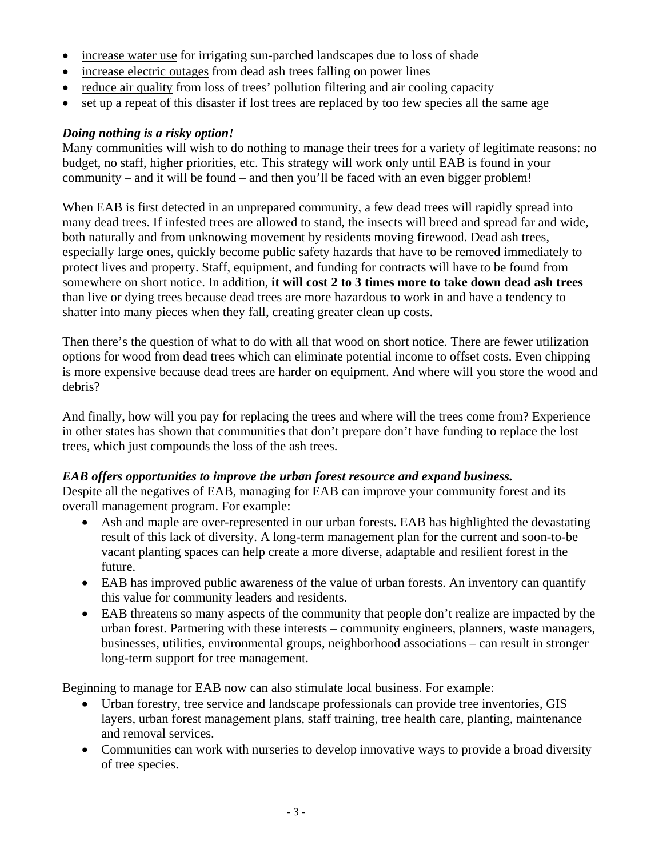- increase water use for irrigating sun-parched landscapes due to loss of shade
- increase electric outages from dead ash trees falling on power lines
- reduce air quality from loss of trees' pollution filtering and air cooling capacity
- set up a repeat of this disaster if lost trees are replaced by too few species all the same age

## *Doing nothing is a risky option!*

Many communities will wish to do nothing to manage their trees for a variety of legitimate reasons: no budget, no staff, higher priorities, etc. This strategy will work only until EAB is found in your community – and it will be found – and then you'll be faced with an even bigger problem!

When EAB is first detected in an unprepared community, a few dead trees will rapidly spread into many dead trees. If infested trees are allowed to stand, the insects will breed and spread far and wide, both naturally and from unknowing movement by residents moving firewood. Dead ash trees, especially large ones, quickly become public safety hazards that have to be removed immediately to protect lives and property. Staff, equipment, and funding for contracts will have to be found from somewhere on short notice. In addition, **it will cost 2 to 3 times more to take down dead ash trees** than live or dying trees because dead trees are more hazardous to work in and have a tendency to shatter into many pieces when they fall, creating greater clean up costs.

Then there's the question of what to do with all that wood on short notice. There are fewer utilization options for wood from dead trees which can eliminate potential income to offset costs. Even chipping is more expensive because dead trees are harder on equipment. And where will you store the wood and debris?

And finally, how will you pay for replacing the trees and where will the trees come from? Experience in other states has shown that communities that don't prepare don't have funding to replace the lost trees, which just compounds the loss of the ash trees.

## *EAB offers opportunities to improve the urban forest resource and expand business.*

Despite all the negatives of EAB, managing for EAB can improve your community forest and its overall management program. For example:

- Ash and maple are over-represented in our urban forests. EAB has highlighted the devastating result of this lack of diversity. A long-term management plan for the current and soon-to-be vacant planting spaces can help create a more diverse, adaptable and resilient forest in the future.
- EAB has improved public awareness of the value of urban forests. An inventory can quantify this value for community leaders and residents.
- EAB threatens so many aspects of the community that people don't realize are impacted by the urban forest. Partnering with these interests – community engineers, planners, waste managers, businesses, utilities, environmental groups, neighborhood associations – can result in stronger long-term support for tree management.

Beginning to manage for EAB now can also stimulate local business. For example:

- Urban forestry, tree service and landscape professionals can provide tree inventories, GIS layers, urban forest management plans, staff training, tree health care, planting, maintenance and removal services.
- Communities can work with nurseries to develop innovative ways to provide a broad diversity of tree species.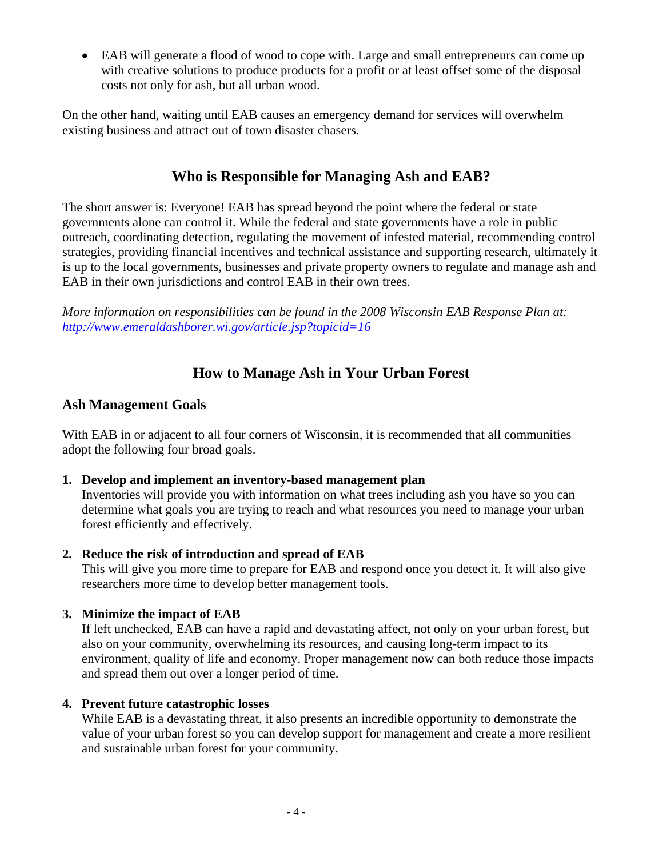• EAB will generate a flood of wood to cope with. Large and small entrepreneurs can come up with creative solutions to produce products for a profit or at least offset some of the disposal costs not only for ash, but all urban wood.

On the other hand, waiting until EAB causes an emergency demand for services will overwhelm existing business and attract out of town disaster chasers.

## **Who is Responsible for Managing Ash and EAB?**

The short answer is: Everyone! EAB has spread beyond the point where the federal or state governments alone can control it. While the federal and state governments have a role in public outreach, coordinating detection, regulating the movement of infested material, recommending control strategies, providing financial incentives and technical assistance and supporting research, ultimately it is up to the local governments, businesses and private property owners to regulate and manage ash and EAB in their own jurisdictions and control EAB in their own trees.

*More information on responsibilities can be found in the 2008 Wisconsin EAB Response Plan at: http://www.emeraldashborer.wi.gov/article.jsp?topicid=16*

## **How to Manage Ash in Your Urban Forest**

## **Ash Management Goals**

With EAB in or adjacent to all four corners of Wisconsin, it is recommended that all communities adopt the following four broad goals.

**1. Develop and implement an inventory-based management plan** 

Inventories will provide you with information on what trees including ash you have so you can determine what goals you are trying to reach and what resources you need to manage your urban forest efficiently and effectively.

**2. Reduce the risk of introduction and spread of EAB** 

This will give you more time to prepare for EAB and respond once you detect it. It will also give researchers more time to develop better management tools.

## **3. Minimize the impact of EAB**

If left unchecked, EAB can have a rapid and devastating affect, not only on your urban forest, but also on your community, overwhelming its resources, and causing long-term impact to its environment, quality of life and economy. Proper management now can both reduce those impacts and spread them out over a longer period of time.

## **4. Prevent future catastrophic losses**

While EAB is a devastating threat, it also presents an incredible opportunity to demonstrate the value of your urban forest so you can develop support for management and create a more resilient and sustainable urban forest for your community.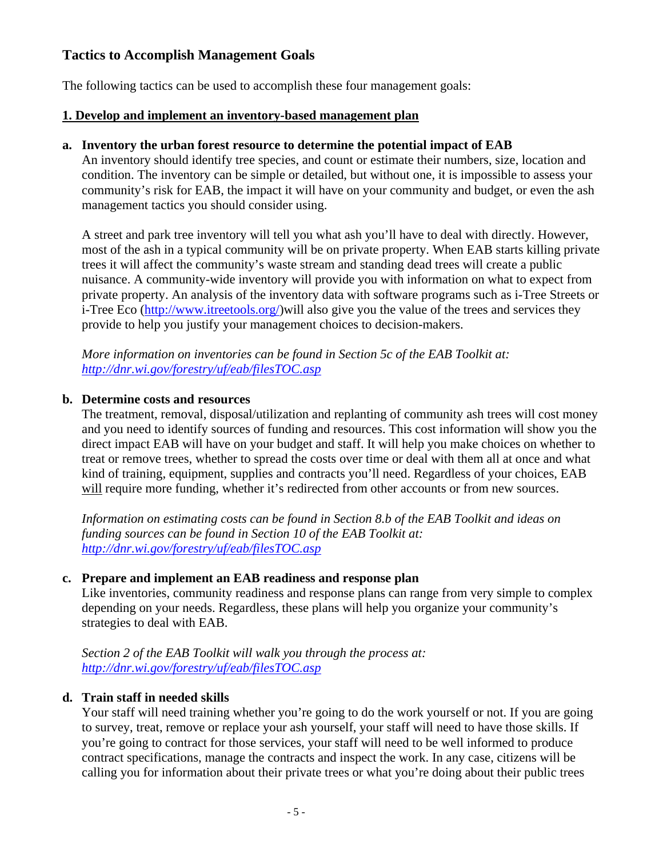## **Tactics to Accomplish Management Goals**

The following tactics can be used to accomplish these four management goals:

### **1. Develop and implement an inventory-based management plan**

#### **a. Inventory the urban forest resource to determine the potential impact of EAB**

An inventory should identify tree species, and count or estimate their numbers, size, location and condition. The inventory can be simple or detailed, but without one, it is impossible to assess your community's risk for EAB, the impact it will have on your community and budget, or even the ash management tactics you should consider using.

A street and park tree inventory will tell you what ash you'll have to deal with directly. However, most of the ash in a typical community will be on private property. When EAB starts killing private trees it will affect the community's waste stream and standing dead trees will create a public nuisance. A community-wide inventory will provide you with information on what to expect from private property. An analysis of the inventory data with software programs such as i-Tree Streets or i-Tree Eco (http://www.itreetools.org/)will also give you the value of the trees and services they provide to help you justify your management choices to decision-makers.

*More information on inventories can be found in Section 5c of the EAB Toolkit at: http://dnr.wi.gov/forestry/uf/eab/filesTOC.asp*

#### **b. Determine costs and resources**

The treatment, removal, disposal/utilization and replanting of community ash trees will cost money and you need to identify sources of funding and resources. This cost information will show you the direct impact EAB will have on your budget and staff. It will help you make choices on whether to treat or remove trees, whether to spread the costs over time or deal with them all at once and what kind of training, equipment, supplies and contracts you'll need. Regardless of your choices, EAB will require more funding, whether it's redirected from other accounts or from new sources.

*Information on estimating costs can be found in Section 8.b of the EAB Toolkit and ideas on funding sources can be found in Section 10 of the EAB Toolkit at: http://dnr.wi.gov/forestry/uf/eab/filesTOC.asp*

## **c. Prepare and implement an EAB readiness and response plan**

Like inventories, community readiness and response plans can range from very simple to complex depending on your needs. Regardless, these plans will help you organize your community's strategies to deal with EAB.

*Section 2 of the EAB Toolkit will walk you through the process at: http://dnr.wi.gov/forestry/uf/eab/filesTOC.asp*

## **d. Train staff in needed skills**

Your staff will need training whether you're going to do the work yourself or not. If you are going to survey, treat, remove or replace your ash yourself, your staff will need to have those skills. If you're going to contract for those services, your staff will need to be well informed to produce contract specifications, manage the contracts and inspect the work. In any case, citizens will be calling you for information about their private trees or what you're doing about their public trees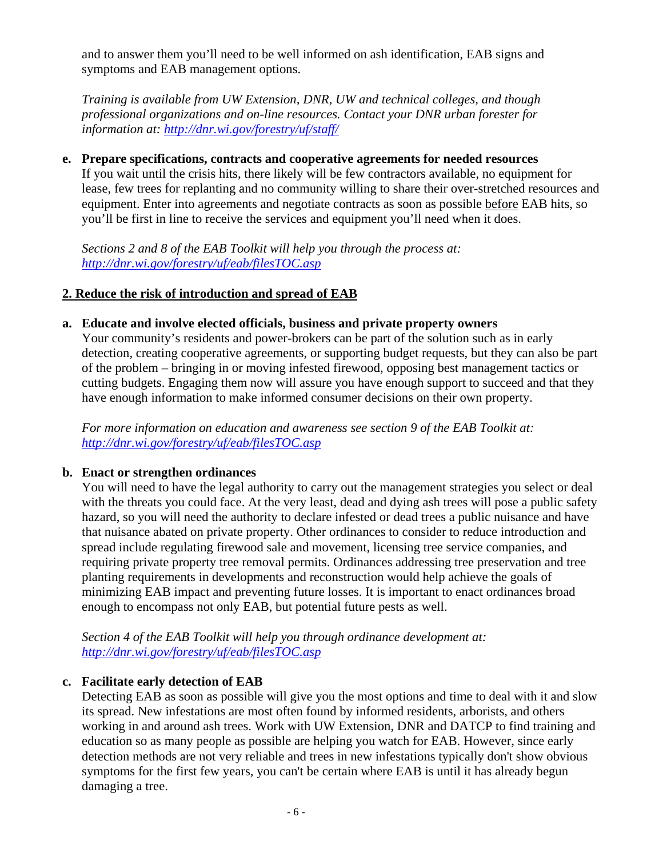and to answer them you'll need to be well informed on ash identification, EAB signs and symptoms and EAB management options.

*Training is available from UW Extension, DNR, UW and technical colleges, and though professional organizations and on-line resources. Contact your DNR urban forester for information at: http://dnr.wi.gov/forestry/uf/staff/*

#### **e. Prepare specifications, contracts and cooperative agreements for needed resources**

If you wait until the crisis hits, there likely will be few contractors available, no equipment for lease, few trees for replanting and no community willing to share their over-stretched resources and equipment. Enter into agreements and negotiate contracts as soon as possible before EAB hits, so you'll be first in line to receive the services and equipment you'll need when it does.

*Sections 2 and 8 of the EAB Toolkit will help you through the process at: http://dnr.wi.gov/forestry/uf/eab/filesTOC.asp*

## **2. Reduce the risk of introduction and spread of EAB**

#### **a. Educate and involve elected officials, business and private property owners**

Your community's residents and power-brokers can be part of the solution such as in early detection, creating cooperative agreements, or supporting budget requests, but they can also be part of the problem – bringing in or moving infested firewood, opposing best management tactics or cutting budgets. Engaging them now will assure you have enough support to succeed and that they have enough information to make informed consumer decisions on their own property.

*For more information on education and awareness see section 9 of the EAB Toolkit at: http://dnr.wi.gov/forestry/uf/eab/filesTOC.asp*

#### **b. Enact or strengthen ordinances**

You will need to have the legal authority to carry out the management strategies you select or deal with the threats you could face. At the very least, dead and dying ash trees will pose a public safety hazard, so you will need the authority to declare infested or dead trees a public nuisance and have that nuisance abated on private property. Other ordinances to consider to reduce introduction and spread include regulating firewood sale and movement, licensing tree service companies, and requiring private property tree removal permits. Ordinances addressing tree preservation and tree planting requirements in developments and reconstruction would help achieve the goals of minimizing EAB impact and preventing future losses. It is important to enact ordinances broad enough to encompass not only EAB, but potential future pests as well.

*Section 4 of the EAB Toolkit will help you through ordinance development at: http://dnr.wi.gov/forestry/uf/eab/filesTOC.asp*

## **c. Facilitate early detection of EAB**

Detecting EAB as soon as possible will give you the most options and time to deal with it and slow its spread. New infestations are most often found by informed residents, arborists, and others working in and around ash trees. Work with UW Extension, DNR and DATCP to find training and education so as many people as possible are helping you watch for EAB. However, since early detection methods are not very reliable and trees in new infestations typically don't show obvious symptoms for the first few years, you can't be certain where EAB is until it has already begun damaging a tree.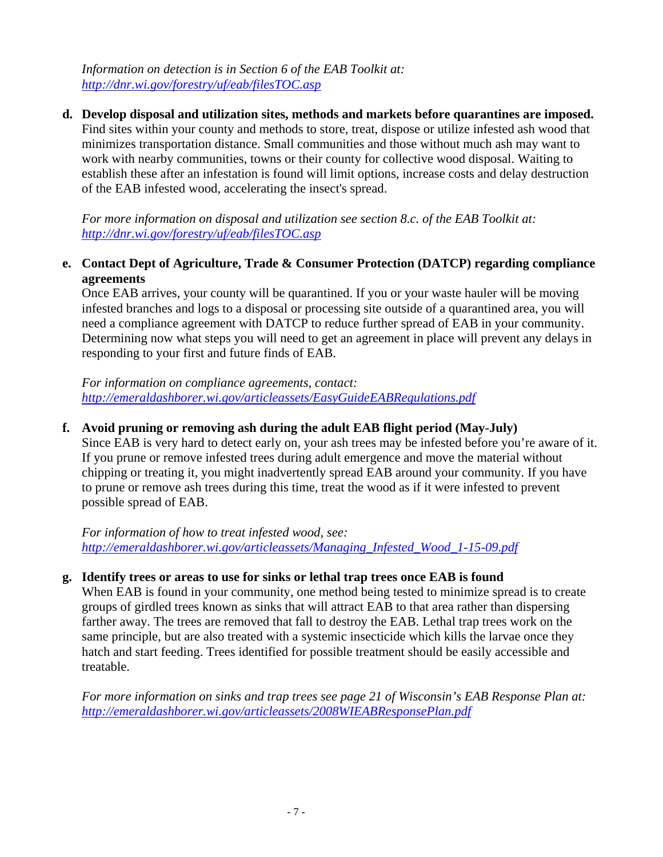*Information on detection is in Section 6 of the EAB Toolkit at: http://dnr.wi.gov/forestry/uf/eab/filesTOC.asp*

**d. Develop disposal and utilization sites, methods and markets before quarantines are imposed.**  Find sites within your county and methods to store, treat, dispose or utilize infested ash wood that minimizes transportation distance. Small communities and those without much ash may want to work with nearby communities, towns or their county for collective wood disposal. Waiting to establish these after an infestation is found will limit options, increase costs and delay destruction of the EAB infested wood, accelerating the insect's spread.

*For more information on disposal and utilization see section 8.c. of the EAB Toolkit at: http://dnr.wi.gov/forestry/uf/eab/filesTOC.asp*

## **e. Contact Dept of Agriculture, Trade & Consumer Protection (DATCP) regarding compliance agreements**

Once EAB arrives, your county will be quarantined. If you or your waste hauler will be moving infested branches and logs to a disposal or processing site outside of a quarantined area, you will need a compliance agreement with DATCP to reduce further spread of EAB in your community. Determining now what steps you will need to get an agreement in place will prevent any delays in responding to your first and future finds of EAB.

*For information on compliance agreements, contact: http://emeraldashborer.wi.gov/articleassets/EasyGuideEABRegulations.pdf*

#### **f. Avoid pruning or removing ash during the adult EAB flight period (May-July)**

Since EAB is very hard to detect early on, your ash trees may be infested before you're aware of it. If you prune or remove infested trees during adult emergence and move the material without chipping or treating it, you might inadvertently spread EAB around your community. If you have to prune or remove ash trees during this time, treat the wood as if it were infested to prevent possible spread of EAB.

*For information of how to treat infested wood, see: http://emeraldashborer.wi.gov/articleassets/Managing\_Infested\_Wood\_1-15-09.pdf*

## **g. Identify trees or areas to use for sinks or lethal trap trees once EAB is found**

When EAB is found in your community, one method being tested to minimize spread is to create groups of girdled trees known as sinks that will attract EAB to that area rather than dispersing farther away. The trees are removed that fall to destroy the EAB. Lethal trap trees work on the same principle, but are also treated with a systemic insecticide which kills the larvae once they hatch and start feeding. Trees identified for possible treatment should be easily accessible and treatable.

*For more information on sinks and trap trees see page 21 of Wisconsin's EAB Response Plan at: http://emeraldashborer.wi.gov/articleassets/2008WIEABResponsePlan.pdf*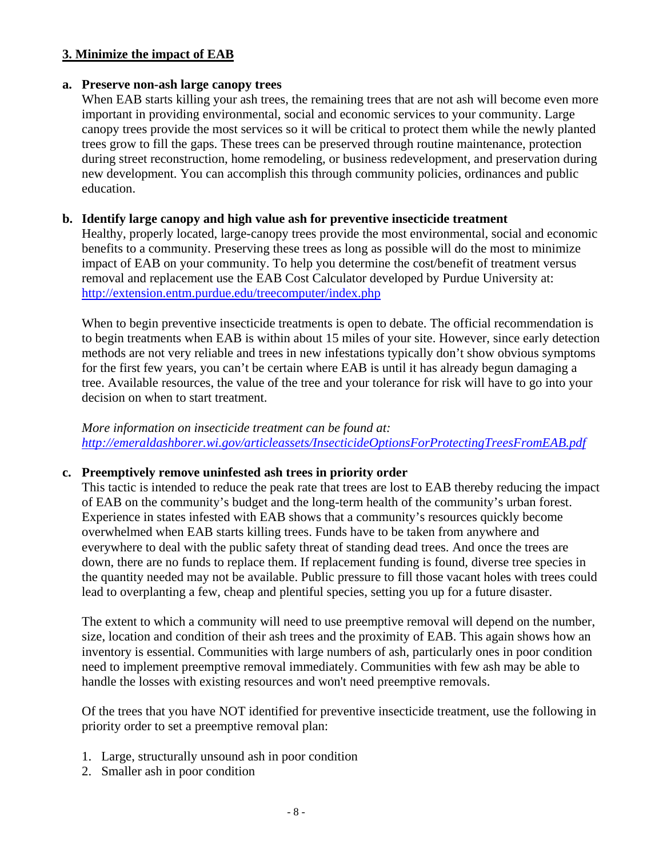#### **3. Minimize the impact of EAB**

#### **a. Preserve non-ash large canopy trees**

When EAB starts killing your ash trees, the remaining trees that are not ash will become even more important in providing environmental, social and economic services to your community. Large canopy trees provide the most services so it will be critical to protect them while the newly planted trees grow to fill the gaps. These trees can be preserved through routine maintenance, protection during street reconstruction, home remodeling, or business redevelopment, and preservation during new development. You can accomplish this through community policies, ordinances and public education.

#### **b. Identify large canopy and high value ash for preventive insecticide treatment**

Healthy, properly located, large-canopy trees provide the most environmental, social and economic benefits to a community. Preserving these trees as long as possible will do the most to minimize impact of EAB on your community. To help you determine the cost/benefit of treatment versus removal and replacement use the EAB Cost Calculator developed by Purdue University at: http://extension.entm.purdue.edu/treecomputer/index.php

When to begin preventive insecticide treatments is open to debate. The official recommendation is to begin treatments when EAB is within about 15 miles of your site. However, since early detection methods are not very reliable and trees in new infestations typically don't show obvious symptoms for the first few years, you can't be certain where EAB is until it has already begun damaging a tree. Available resources, the value of the tree and your tolerance for risk will have to go into your decision on when to start treatment.

*More information on insecticide treatment can be found at: http://emeraldashborer.wi.gov/articleassets/InsecticideOptionsForProtectingTreesFromEAB.pdf*

#### **c. Preemptively remove uninfested ash trees in priority order**

This tactic is intended to reduce the peak rate that trees are lost to EAB thereby reducing the impact of EAB on the community's budget and the long-term health of the community's urban forest. Experience in states infested with EAB shows that a community's resources quickly become overwhelmed when EAB starts killing trees. Funds have to be taken from anywhere and everywhere to deal with the public safety threat of standing dead trees. And once the trees are down, there are no funds to replace them. If replacement funding is found, diverse tree species in the quantity needed may not be available. Public pressure to fill those vacant holes with trees could lead to overplanting a few, cheap and plentiful species, setting you up for a future disaster.

The extent to which a community will need to use preemptive removal will depend on the number, size, location and condition of their ash trees and the proximity of EAB. This again shows how an inventory is essential. Communities with large numbers of ash, particularly ones in poor condition need to implement preemptive removal immediately. Communities with few ash may be able to handle the losses with existing resources and won't need preemptive removals.

Of the trees that you have NOT identified for preventive insecticide treatment, use the following in priority order to set a preemptive removal plan:

- 1. Large, structurally unsound ash in poor condition
- 2. Smaller ash in poor condition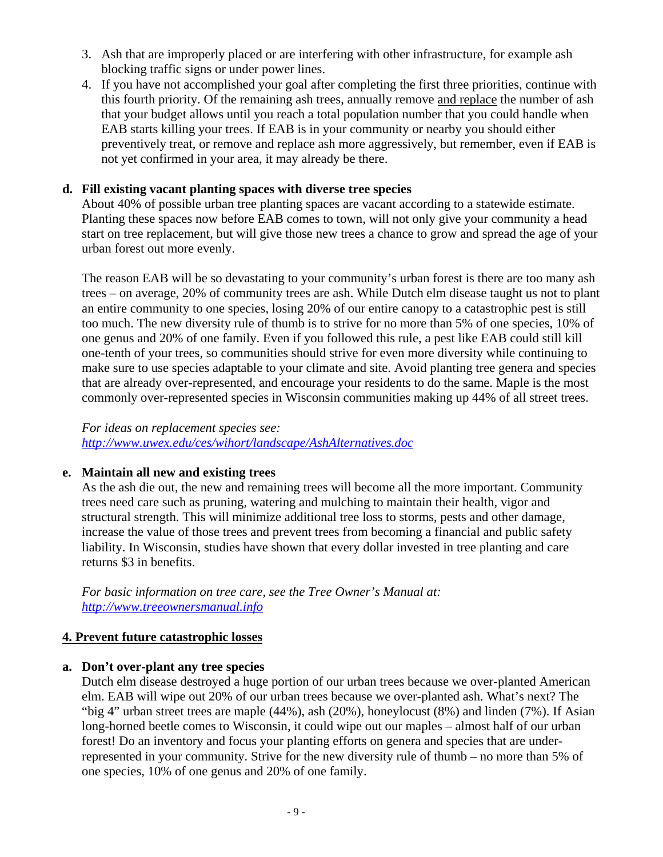- 3. Ash that are improperly placed or are interfering with other infrastructure, for example ash blocking traffic signs or under power lines.
- 4. If you have not accomplished your goal after completing the first three priorities, continue with this fourth priority. Of the remaining ash trees, annually remove and replace the number of ash that your budget allows until you reach a total population number that you could handle when EAB starts killing your trees. If EAB is in your community or nearby you should either preventively treat, or remove and replace ash more aggressively, but remember, even if EAB is not yet confirmed in your area, it may already be there.

## **d. Fill existing vacant planting spaces with diverse tree species**

About 40% of possible urban tree planting spaces are vacant according to a statewide estimate. Planting these spaces now before EAB comes to town, will not only give your community a head start on tree replacement, but will give those new trees a chance to grow and spread the age of your urban forest out more evenly.

The reason EAB will be so devastating to your community's urban forest is there are too many ash trees – on average, 20% of community trees are ash. While Dutch elm disease taught us not to plant an entire community to one species, losing 20% of our entire canopy to a catastrophic pest is still too much. The new diversity rule of thumb is to strive for no more than 5% of one species, 10% of one genus and 20% of one family. Even if you followed this rule, a pest like EAB could still kill one-tenth of your trees, so communities should strive for even more diversity while continuing to make sure to use species adaptable to your climate and site. Avoid planting tree genera and species that are already over-represented, and encourage your residents to do the same. Maple is the most commonly over-represented species in Wisconsin communities making up 44% of all street trees.

*For ideas on replacement species see: http://www.uwex.edu/ces/wihort/landscape/AshAlternatives.doc*

#### **e. Maintain all new and existing trees**

As the ash die out, the new and remaining trees will become all the more important. Community trees need care such as pruning, watering and mulching to maintain their health, vigor and structural strength. This will minimize additional tree loss to storms, pests and other damage, increase the value of those trees and prevent trees from becoming a financial and public safety liability. In Wisconsin, studies have shown that every dollar invested in tree planting and care returns \$3 in benefits.

*For basic information on tree care, see the Tree Owner's Manual at: http://www.treeownersmanual.info*

#### **4. Prevent future catastrophic losses**

#### **a. Don't over-plant any tree species**

Dutch elm disease destroyed a huge portion of our urban trees because we over-planted American elm. EAB will wipe out 20% of our urban trees because we over-planted ash. What's next? The "big 4" urban street trees are maple (44%), ash (20%), honeylocust (8%) and linden (7%). If Asian long-horned beetle comes to Wisconsin, it could wipe out our maples – almost half of our urban forest! Do an inventory and focus your planting efforts on genera and species that are underrepresented in your community. Strive for the new diversity rule of thumb – no more than 5% of one species, 10% of one genus and 20% of one family.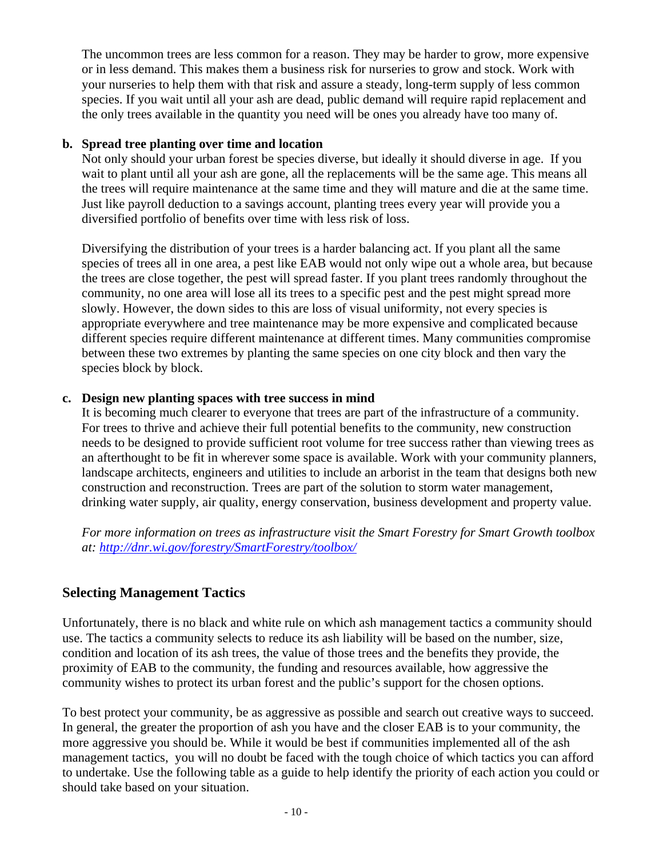The uncommon trees are less common for a reason. They may be harder to grow, more expensive or in less demand. This makes them a business risk for nurseries to grow and stock. Work with your nurseries to help them with that risk and assure a steady, long-term supply of less common species. If you wait until all your ash are dead, public demand will require rapid replacement and the only trees available in the quantity you need will be ones you already have too many of.

#### **b. Spread tree planting over time and location**

Not only should your urban forest be species diverse, but ideally it should diverse in age. If you wait to plant until all your ash are gone, all the replacements will be the same age. This means all the trees will require maintenance at the same time and they will mature and die at the same time. Just like payroll deduction to a savings account, planting trees every year will provide you a diversified portfolio of benefits over time with less risk of loss.

Diversifying the distribution of your trees is a harder balancing act. If you plant all the same species of trees all in one area, a pest like EAB would not only wipe out a whole area, but because the trees are close together, the pest will spread faster. If you plant trees randomly throughout the community, no one area will lose all its trees to a specific pest and the pest might spread more slowly. However, the down sides to this are loss of visual uniformity, not every species is appropriate everywhere and tree maintenance may be more expensive and complicated because different species require different maintenance at different times. Many communities compromise between these two extremes by planting the same species on one city block and then vary the species block by block.

## **c. Design new planting spaces with tree success in mind**

It is becoming much clearer to everyone that trees are part of the infrastructure of a community. For trees to thrive and achieve their full potential benefits to the community, new construction needs to be designed to provide sufficient root volume for tree success rather than viewing trees as an afterthought to be fit in wherever some space is available. Work with your community planners, landscape architects, engineers and utilities to include an arborist in the team that designs both new construction and reconstruction. Trees are part of the solution to storm water management, drinking water supply, air quality, energy conservation, business development and property value.

*For more information on trees as infrastructure visit the Smart Forestry for Smart Growth toolbox at: http://dnr.wi.gov/forestry/SmartForestry/toolbox/*

## **Selecting Management Tactics**

Unfortunately, there is no black and white rule on which ash management tactics a community should use. The tactics a community selects to reduce its ash liability will be based on the number, size, condition and location of its ash trees, the value of those trees and the benefits they provide, the proximity of EAB to the community, the funding and resources available, how aggressive the community wishes to protect its urban forest and the public's support for the chosen options.

To best protect your community, be as aggressive as possible and search out creative ways to succeed. In general, the greater the proportion of ash you have and the closer EAB is to your community, the more aggressive you should be. While it would be best if communities implemented all of the ash management tactics, you will no doubt be faced with the tough choice of which tactics you can afford to undertake. Use the following table as a guide to help identify the priority of each action you could or should take based on your situation.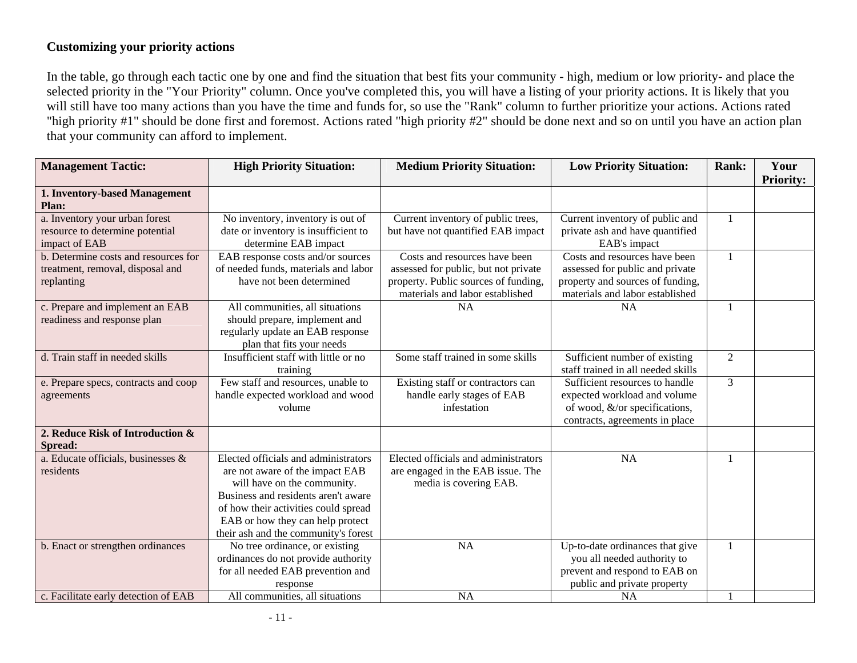## **Customizing your priority actions**

In the table, go through each tactic one by one and find the situation that best fits your community - high, medium or low priority- and place the selected priority in the "Your Priority" column. Once you've completed this, you will have a listing of your priority actions. It is likely that you will still have too many actions than you have the time and funds for, so use the "Rank" column to further prioritize your actions. Actions rated "high priority #1" should be done first and foremost. Actions rated "high priority #2" should be done next and so on until you have an action plan that your community can afford to implement.

| <b>Management Tactic:</b>                                                              | <b>High Priority Situation:</b>                                                                                                                                                                                                                                   | <b>Medium Priority Situation:</b>                                                                                                                | <b>Low Priority Situation:</b>                                                                                                          | <b>Rank:</b>   | Your<br><b>Priority:</b> |
|----------------------------------------------------------------------------------------|-------------------------------------------------------------------------------------------------------------------------------------------------------------------------------------------------------------------------------------------------------------------|--------------------------------------------------------------------------------------------------------------------------------------------------|-----------------------------------------------------------------------------------------------------------------------------------------|----------------|--------------------------|
| 1. Inventory-based Management<br>Plan:                                                 |                                                                                                                                                                                                                                                                   |                                                                                                                                                  |                                                                                                                                         |                |                          |
| a. Inventory your urban forest<br>resource to determine potential<br>impact of EAB     | No inventory, inventory is out of<br>date or inventory is insufficient to<br>determine EAB impact                                                                                                                                                                 | Current inventory of public trees,<br>but have not quantified EAB impact                                                                         | Current inventory of public and<br>private ash and have quantified<br>EAB's impact                                                      | $\mathbf{1}$   |                          |
| b. Determine costs and resources for<br>treatment, removal, disposal and<br>replanting | EAB response costs and/or sources<br>of needed funds, materials and labor<br>have not been determined                                                                                                                                                             | Costs and resources have been<br>assessed for public, but not private<br>property. Public sources of funding,<br>materials and labor established | Costs and resources have been<br>assessed for public and private<br>property and sources of funding,<br>materials and labor established | $\mathbf{1}$   |                          |
| c. Prepare and implement an EAB<br>readiness and response plan                         | All communities, all situations<br>should prepare, implement and<br>regularly update an EAB response<br>plan that fits your needs                                                                                                                                 | <b>NA</b>                                                                                                                                        | <b>NA</b>                                                                                                                               | 1              |                          |
| d. Train staff in needed skills                                                        | Insufficient staff with little or no<br>training                                                                                                                                                                                                                  | Some staff trained in some skills                                                                                                                | Sufficient number of existing<br>staff trained in all needed skills                                                                     | $\overline{2}$ |                          |
| e. Prepare specs, contracts and coop<br>agreements                                     | Few staff and resources, unable to<br>handle expected workload and wood<br>volume                                                                                                                                                                                 | Existing staff or contractors can<br>handle early stages of EAB<br>infestation                                                                   | Sufficient resources to handle<br>expected workload and volume<br>of wood, &/or specifications,<br>contracts, agreements in place       | 3              |                          |
| 2. Reduce Risk of Introduction &<br>Spread:                                            |                                                                                                                                                                                                                                                                   |                                                                                                                                                  |                                                                                                                                         |                |                          |
| a. Educate officials, businesses &<br>residents                                        | Elected officials and administrators<br>are not aware of the impact EAB<br>will have on the community.<br>Business and residents aren't aware<br>of how their activities could spread<br>EAB or how they can help protect<br>their ash and the community's forest | Elected officials and administrators<br>are engaged in the EAB issue. The<br>media is covering EAB.                                              | <b>NA</b>                                                                                                                               | $\mathbf{1}$   |                          |
| b. Enact or strengthen ordinances                                                      | No tree ordinance, or existing<br>ordinances do not provide authority<br>for all needed EAB prevention and<br>response                                                                                                                                            | <b>NA</b>                                                                                                                                        | Up-to-date ordinances that give<br>you all needed authority to<br>prevent and respond to EAB on<br>public and private property          | -1             |                          |
| c. Facilitate early detection of EAB                                                   | All communities, all situations                                                                                                                                                                                                                                   | <b>NA</b>                                                                                                                                        | <b>NA</b>                                                                                                                               |                |                          |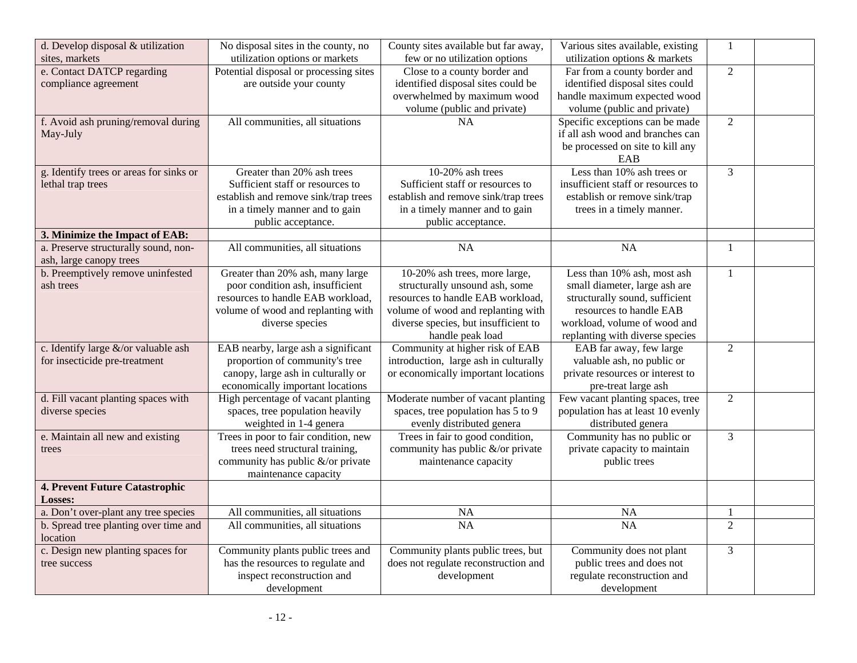| d. Develop disposal & utilization                | No disposal sites in the county, no                           | County sites available but far away,  | Various sites available, existing  | $\mathbf{1}$   |  |
|--------------------------------------------------|---------------------------------------------------------------|---------------------------------------|------------------------------------|----------------|--|
| sites, markets                                   | utilization options or markets                                | few or no utilization options         | utilization options & markets      |                |  |
| e. Contact DATCP regarding                       | Potential disposal or processing sites                        | Close to a county border and          | Far from a county border and       | $\overline{2}$ |  |
| compliance agreement                             | are outside your county<br>identified disposal sites could be |                                       | identified disposal sites could    |                |  |
|                                                  |                                                               | overwhelmed by maximum wood           | handle maximum expected wood       |                |  |
|                                                  |                                                               | volume (public and private)           | volume (public and private)        |                |  |
| f. Avoid ash pruning/removal during              | All communities, all situations                               | NA                                    | Specific exceptions can be made    | $\overline{2}$ |  |
| May-July                                         |                                                               |                                       | if all ash wood and branches can   |                |  |
|                                                  |                                                               |                                       | be processed on site to kill any   |                |  |
|                                                  |                                                               |                                       | EAB                                |                |  |
| g. Identify trees or areas for sinks or          | Greater than 20% ash trees                                    | 10-20% ash trees                      | Less than 10% ash trees or         | 3              |  |
| lethal trap trees                                | Sufficient staff or resources to                              | Sufficient staff or resources to      | insufficient staff or resources to |                |  |
|                                                  | establish and remove sink/trap trees                          | establish and remove sink/trap trees  | establish or remove sink/trap      |                |  |
|                                                  | in a timely manner and to gain                                | in a timely manner and to gain        | trees in a timely manner.          |                |  |
|                                                  | public acceptance.                                            | public acceptance.                    |                                    |                |  |
| 3. Minimize the Impact of EAB:                   |                                                               |                                       |                                    |                |  |
| a. Preserve structurally sound, non-             | All communities, all situations                               | $\overline{NA}$                       | <b>NA</b>                          | 1              |  |
| ash, large canopy trees                          |                                                               |                                       |                                    |                |  |
| b. Preemptively remove uninfested                | Greater than 20% ash, many large                              | 10-20% ash trees, more large,         | Less than 10% ash, most ash        | $\mathbf{1}$   |  |
| ash trees                                        | poor condition ash, insufficient                              | structurally unsound ash, some        | small diameter, large ash are      |                |  |
|                                                  | resources to handle EAB workload,                             | resources to handle EAB workload,     | structurally sound, sufficient     |                |  |
|                                                  | volume of wood and replanting with                            | volume of wood and replanting with    | resources to handle EAB            |                |  |
|                                                  | diverse species                                               | diverse species, but insufficient to  | workload, volume of wood and       |                |  |
|                                                  |                                                               | handle peak load                      | replanting with diverse species    |                |  |
| c. Identify large &/or valuable ash              | EAB nearby, large ash a significant                           | Community at higher risk of EAB       | EAB far away, few large            | $\overline{2}$ |  |
| for insecticide pre-treatment                    | proportion of community's tree                                | introduction, large ash in culturally | valuable ash, no public or         |                |  |
|                                                  | canopy, large ash in culturally or                            | or economically important locations   | private resources or interest to   |                |  |
|                                                  | economically important locations                              |                                       | pre-treat large ash                |                |  |
| d. Fill vacant planting spaces with              | High percentage of vacant planting                            | Moderate number of vacant planting    | Few vacant planting spaces, tree   | $\overline{2}$ |  |
| diverse species                                  | spaces, tree population heavily                               | spaces, tree population has 5 to 9    | population has at least 10 evenly  |                |  |
|                                                  | weighted in 1-4 genera                                        | evenly distributed genera             | distributed genera                 |                |  |
| e. Maintain all new and existing                 | Trees in poor to fair condition, new                          | Trees in fair to good condition,      | Community has no public or         | 3              |  |
| trees                                            | trees need structural training,                               | community has public &/or private     | private capacity to maintain       |                |  |
|                                                  | community has public &/or private                             | maintenance capacity                  | public trees                       |                |  |
|                                                  | maintenance capacity                                          |                                       |                                    |                |  |
| <b>4. Prevent Future Catastrophic</b><br>Losses: |                                                               |                                       |                                    |                |  |
| a. Don't over-plant any tree species             | All communities, all situations                               | <b>NA</b>                             | <b>NA</b>                          | -1             |  |
| b. Spread tree planting over time and            | All communities, all situations                               | <b>NA</b>                             | <b>NA</b>                          | $\overline{2}$ |  |
| location                                         |                                                               |                                       |                                    |                |  |
| c. Design new planting spaces for                | Community plants public trees and                             | Community plants public trees, but    | Community does not plant           | $\overline{3}$ |  |
| tree success                                     | has the resources to regulate and                             | does not regulate reconstruction and  | public trees and does not          |                |  |
|                                                  | inspect reconstruction and                                    | development                           | regulate reconstruction and        |                |  |
|                                                  | development                                                   |                                       | development                        |                |  |
|                                                  |                                                               |                                       |                                    |                |  |